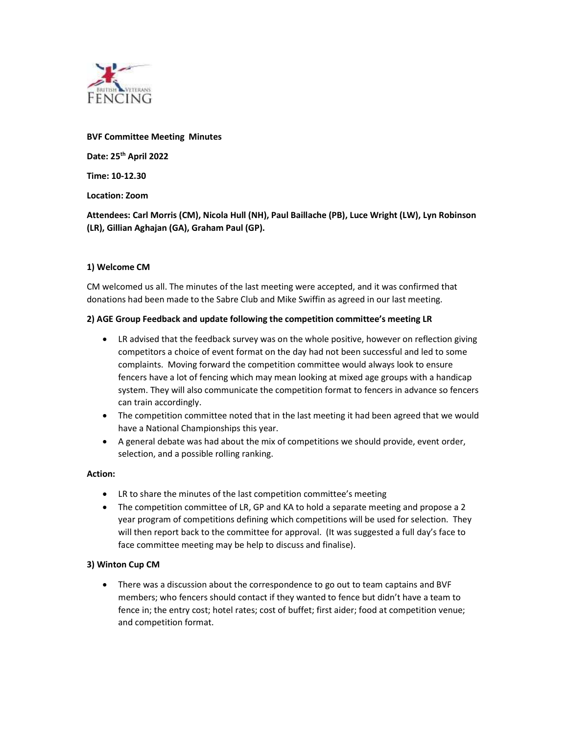

#### BVF Committee Meeting Minutes

Date: 25<sup>th</sup> April 2022

Time: 10-12.30

Location: Zoom

Attendees: Carl Morris (CM), Nicola Hull (NH), Paul Baillache (PB), Luce Wright (LW), Lyn Robinson (LR), Gillian Aghajan (GA), Graham Paul (GP).

### 1) Welcome CM

CM welcomed us all. The minutes of the last meeting were accepted, and it was confirmed that donations had been made to the Sabre Club and Mike Swiffin as agreed in our last meeting.

### 2) AGE Group Feedback and update following the competition committee's meeting LR

- LR advised that the feedback survey was on the whole positive, however on reflection giving competitors a choice of event format on the day had not been successful and led to some complaints. Moving forward the competition committee would always look to ensure fencers have a lot of fencing which may mean looking at mixed age groups with a handicap system. They will also communicate the competition format to fencers in advance so fencers can train accordingly.
- The competition committee noted that in the last meeting it had been agreed that we would have a National Championships this year.
- A general debate was had about the mix of competitions we should provide, event order, selection, and a possible rolling ranking.

# Action:

- LR to share the minutes of the last competition committee's meeting
- The competition committee of LR, GP and KA to hold a separate meeting and propose a 2 year program of competitions defining which competitions will be used for selection. They will then report back to the committee for approval. (It was suggested a full day's face to face committee meeting may be help to discuss and finalise).

# 3) Winton Cup CM

 There was a discussion about the correspondence to go out to team captains and BVF members; who fencers should contact if they wanted to fence but didn't have a team to fence in; the entry cost; hotel rates; cost of buffet; first aider; food at competition venue; and competition format.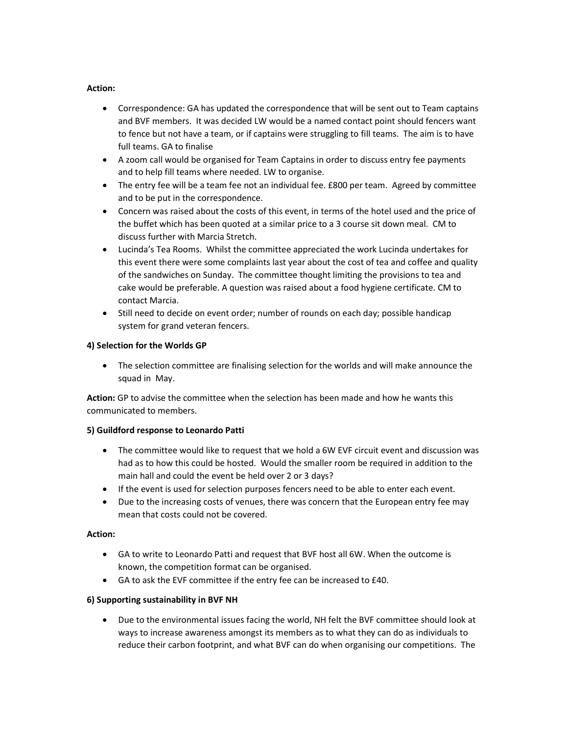### Action:

- Correspondence: GA has updated the correspondence that will be sent out to Team captains and BVF members. It was decided LW would be a named contact point should fencers want to fence but not have a team, or if captains were struggling to fill teams. The aim is to have full teams. GA to finalise
- A zoom call would be organised for Team Captains in order to discuss entry fee payments and to help fill teams where needed. LW to organise.
- The entry fee will be a team fee not an individual fee. £800 per team. Agreed by committee and to be put in the correspondence.
- Concern was raised about the costs of this event, in terms of the hotel used and the price of the buffet which has been quoted at a similar price to a 3 course sit down meal. CM to discuss further with Marcia Stretch.
- Lucinda's Tea Rooms. Whilst the committee appreciated the work Lucinda undertakes for this event there were some complaints last year about the cost of tea and coffee and quality of the sandwiches on Sunday. The committee thought limiting the provisions to tea and cake would be preferable. A question was raised about a food hygiene certificate. CM to contact Marcia.
- Still need to decide on event order; number of rounds on each day; possible handicap system for grand veteran fencers.

### 4) Selection for the Worlds GP

 The selection committee are finalising selection for the worlds and will make announce the squad in May.

Action: GP to advise the committee when the selection has been made and how he wants this communicated to members.

### 5) Guildford response to Leonardo Patti

- The committee would like to request that we hold a 6W EVF circuit event and discussion was had as to how this could be hosted. Would the smaller room be required in addition to the main hall and could the event be held over 2 or 3 days?
- If the event is used for selection purposes fencers need to be able to enter each event.
- Due to the increasing costs of venues, there was concern that the European entry fee may mean that costs could not be covered.

### Action:

- GA to write to Leonardo Patti and request that BVF host all 6W. When the outcome is known, the competition format can be organised.
- GA to ask the EVF committee if the entry fee can be increased to £40.

### 6) Supporting sustainability in BVF NH

 Due to the environmental issues facing the world, NH felt the BVF committee should look at ways to increase awareness amongst its members as to what they can do as individuals to reduce their carbon footprint, and what BVF can do when organising our competitions. The